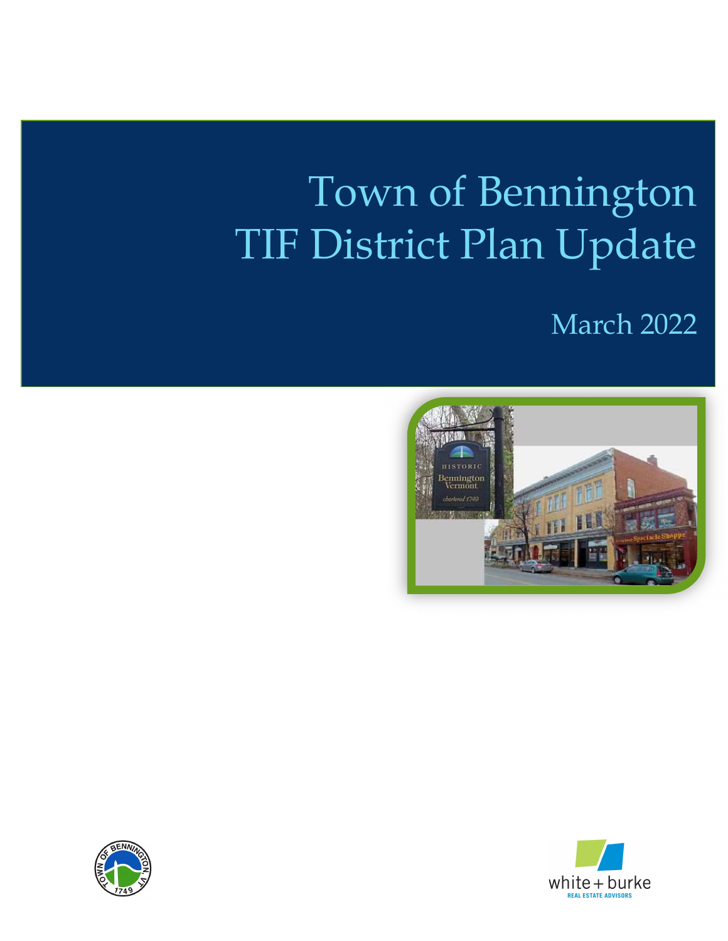# Town of Bennington TIF District Plan Update





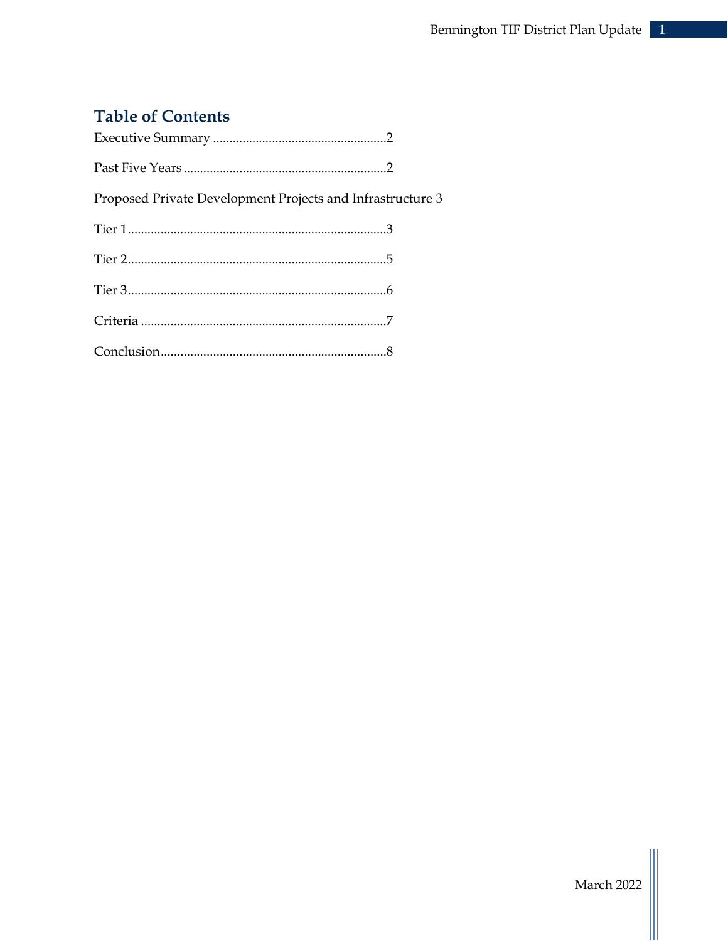# **Table of Contents**

| Proposed Private Development Projects and Infrastructure 3 |  |
|------------------------------------------------------------|--|
|                                                            |  |
|                                                            |  |
|                                                            |  |
|                                                            |  |
|                                                            |  |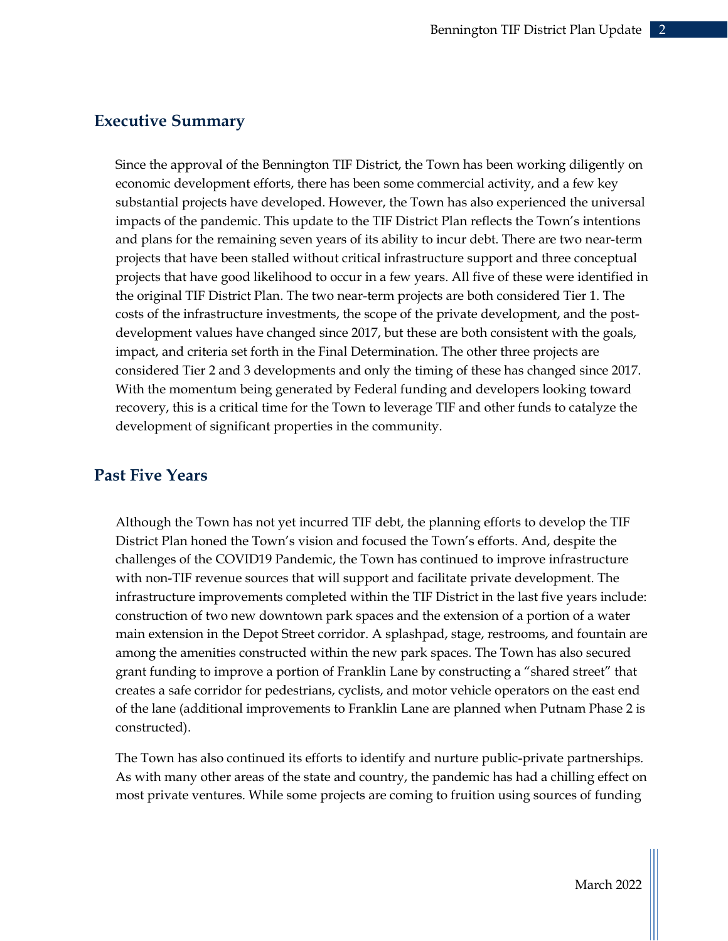# Executive Summary

Since the approval of the Bennington TIF District, the Town has been working diligently on economic development efforts, there has been some commercial activity, and a few key substantial projects have developed. However, the Town has also experienced the universal impacts of the pandemic. This update to the TIF District Plan reflects the Town's intentions and plans for the remaining seven years of its ability to incur debt. There are two near-term projects that have been stalled without critical infrastructure support and three conceptual projects that have good likelihood to occur in a few years. All five of these were identified in the original TIF District Plan. The two near-term projects are both considered Tier 1. The costs of the infrastructure investments, the scope of the private development, and the postdevelopment values have changed since 2017, but these are both consistent with the goals, impact, and criteria set forth in the Final Determination. The other three projects are considered Tier 2 and 3 developments and only the timing of these has changed since 2017. With the momentum being generated by Federal funding and developers looking toward recovery, this is a critical time for the Town to leverage TIF and other funds to catalyze the development of significant properties in the community.

# Past Five Years

Although the Town has not yet incurred TIF debt, the planning efforts to develop the TIF District Plan honed the Town's vision and focused the Town's efforts. And, despite the challenges of the COVID19 Pandemic, the Town has continued to improve infrastructure with non-TIF revenue sources that will support and facilitate private development. The infrastructure improvements completed within the TIF District in the last five years include: construction of two new downtown park spaces and the extension of a portion of a water main extension in the Depot Street corridor. A splashpad, stage, restrooms, and fountain are among the amenities constructed within the new park spaces. The Town has also secured grant funding to improve a portion of Franklin Lane by constructing a "shared street" that creates a safe corridor for pedestrians, cyclists, and motor vehicle operators on the east end of the lane (additional improvements to Franklin Lane are planned when Putnam Phase 2 is constructed).

The Town has also continued its efforts to identify and nurture public-private partnerships. As with many other areas of the state and country, the pandemic has had a chilling effect on most private ventures. While some projects are coming to fruition using sources of funding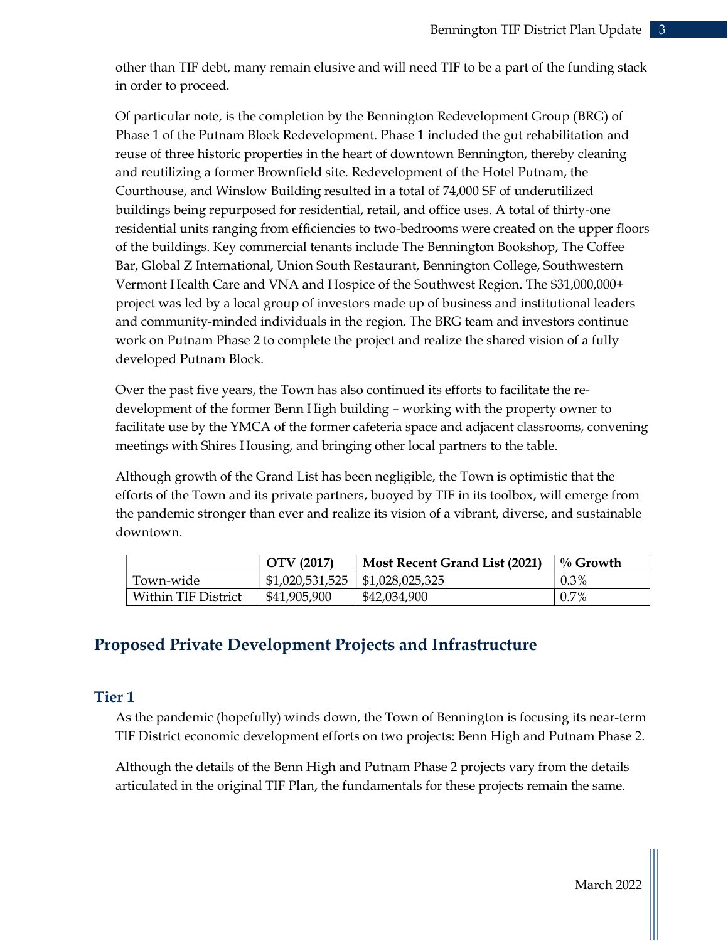other than TIF debt, many remain elusive and will need TIF to be a part of the funding stack in order to proceed.

Of particular note, is the completion by the Bennington Redevelopment Group (BRG) of Phase 1 of the Putnam Block Redevelopment. Phase 1 included the gut rehabilitation and reuse of three historic properties in the heart of downtown Bennington, thereby cleaning and reutilizing a former Brownfield site. Redevelopment of the Hotel Putnam, the Courthouse, and Winslow Building resulted in a total of 74,000 SF of underutilized buildings being repurposed for residential, retail, and office uses. A total of thirty-one residential units ranging from efficiencies to two-bedrooms were created on the upper floors of the buildings. Key commercial tenants include The Bennington Bookshop, The Coffee Bar, Global Z International, Union South Restaurant, Bennington College, Southwestern Vermont Health Care and VNA and Hospice of the Southwest Region. The \$31,000,000+ project was led by a local group of investors made up of business and institutional leaders and community-minded individuals in the region. The BRG team and investors continue work on Putnam Phase 2 to complete the project and realize the shared vision of a fully developed Putnam Block.

Over the past five years, the Town has also continued its efforts to facilitate the redevelopment of the former Benn High building – working with the property owner to facilitate use by the YMCA of the former cafeteria space and adjacent classrooms, convening meetings with Shires Housing, and bringing other local partners to the table.

Although growth of the Grand List has been negligible, the Town is optimistic that the efforts of the Town and its private partners, buoyed by TIF in its toolbox, will emerge from the pandemic stronger than ever and realize its vision of a vibrant, diverse, and sustainable downtown.

|                     | OTV (2017)      | Most Recent Grand List (2021) | $\%$ Growth |
|---------------------|-----------------|-------------------------------|-------------|
| Town-wide           | \$1,020,531,525 | $\vert$ \$1,028,025,325       | $0.3\%$     |
| Within TIF District | \$41,905,900    | \$42,034,900                  | $0.7\%$     |

# Proposed Private Development Projects and Infrastructure

### Tier 1

As the pandemic (hopefully) winds down, the Town of Bennington is focusing its near-term TIF District economic development efforts on two projects: Benn High and Putnam Phase 2.

Although the details of the Benn High and Putnam Phase 2 projects vary from the details articulated in the original TIF Plan, the fundamentals for these projects remain the same.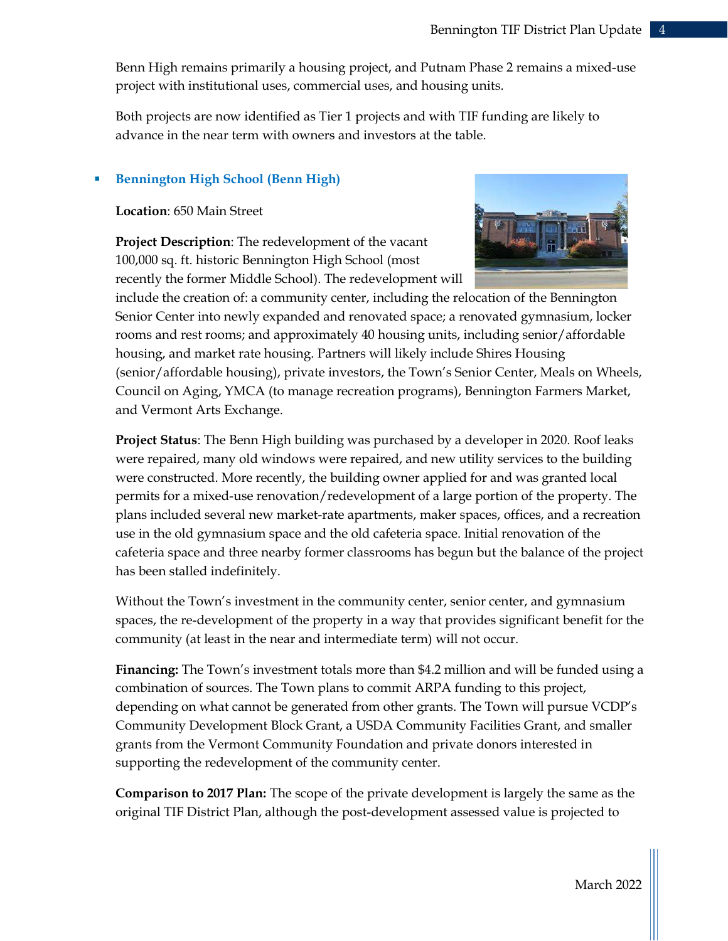Benn High remains primarily a housing project, and Putnam Phase 2 remains a mixed-use project with institutional uses, commercial uses, and housing units.

Both projects are now identified as Tier 1 projects and with TIF funding are likely to advance in the near term with owners and investors at the table.

#### Bennington High School (Benn High)

Location: 650 Main Street

Project Description: The redevelopment of the vacant 100,000 sq. ft. historic Bennington High School (most recently the former Middle School). The redevelopment will



include the creation of: a community center, including the relocation of the Bennington Senior Center into newly expanded and renovated space; a renovated gymnasium, locker rooms and rest rooms; and approximately 40 housing units, including senior/affordable housing, and market rate housing. Partners will likely include Shires Housing (senior/affordable housing), private investors, the Town's Senior Center, Meals on Wheels, Council on Aging, YMCA (to manage recreation programs), Bennington Farmers Market, and Vermont Arts Exchange.

Project Status: The Benn High building was purchased by a developer in 2020. Roof leaks were repaired, many old windows were repaired, and new utility services to the building were constructed. More recently, the building owner applied for and was granted local permits for a mixed-use renovation/redevelopment of a large portion of the property. The plans included several new market-rate apartments, maker spaces, offices, and a recreation use in the old gymnasium space and the old cafeteria space. Initial renovation of the cafeteria space and three nearby former classrooms has begun but the balance of the project has been stalled indefinitely.

Without the Town's investment in the community center, senior center, and gymnasium spaces, the re-development of the property in a way that provides significant benefit for the community (at least in the near and intermediate term) will not occur.

Financing: The Town's investment totals more than \$4.2 million and will be funded using a combination of sources. The Town plans to commit ARPA funding to this project, depending on what cannot be generated from other grants. The Town will pursue VCDP's Community Development Block Grant, a USDA Community Facilities Grant, and smaller grants from the Vermont Community Foundation and private donors interested in supporting the redevelopment of the community center.

Comparison to 2017 Plan: The scope of the private development is largely the same as the original TIF District Plan, although the post-development assessed value is projected to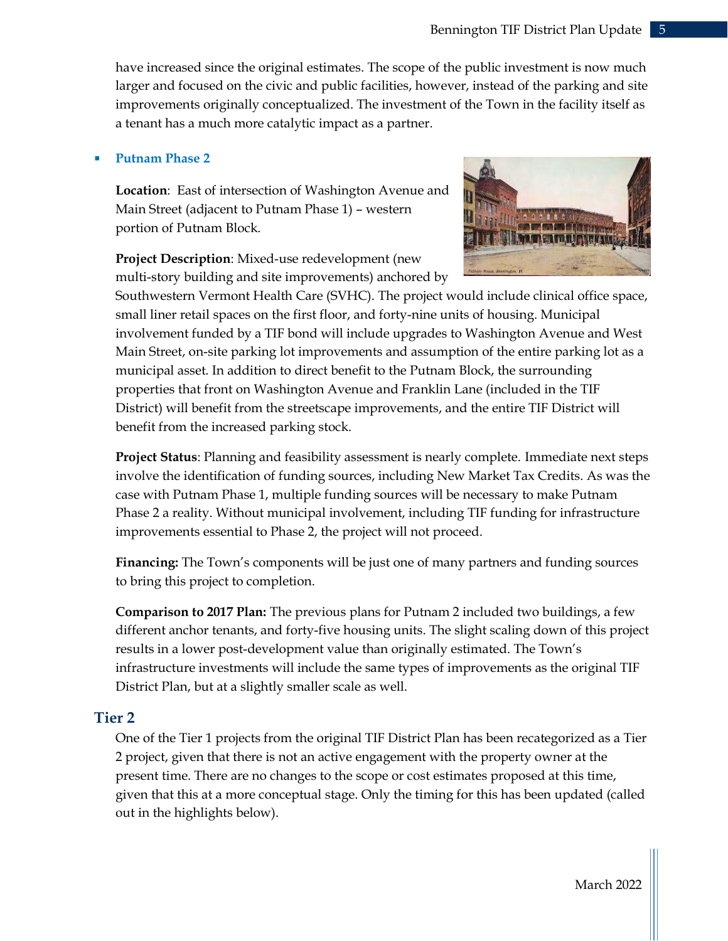have increased since the original estimates. The scope of the public investment is now much larger and focused on the civic and public facilities, however, instead of the parking and site improvements originally conceptualized. The investment of the Town in the facility itself as a tenant has a much more catalytic impact as a partner.

#### Putnam Phase 2

Location: East of intersection of Washington Avenue and Main Street (adjacent to Putnam Phase 1) – western portion of Putnam Block.

Project Description: Mixed-use redevelopment (new multi-story building and site improvements) anchored by



Southwestern Vermont Health Care (SVHC). The project would include clinical office space, small liner retail spaces on the first floor, and forty-nine units of housing. Municipal involvement funded by a TIF bond will include upgrades to Washington Avenue and West Main Street, on-site parking lot improvements and assumption of the entire parking lot as a municipal asset. In addition to direct benefit to the Putnam Block, the surrounding properties that front on Washington Avenue and Franklin Lane (included in the TIF District) will benefit from the streetscape improvements, and the entire TIF District will benefit from the increased parking stock.

Project Status: Planning and feasibility assessment is nearly complete. Immediate next steps involve the identification of funding sources, including New Market Tax Credits. As was the case with Putnam Phase 1, multiple funding sources will be necessary to make Putnam Phase 2 a reality. Without municipal involvement, including TIF funding for infrastructure improvements essential to Phase 2, the project will not proceed.

Financing: The Town's components will be just one of many partners and funding sources to bring this project to completion.

Comparison to 2017 Plan: The previous plans for Putnam 2 included two buildings, a few different anchor tenants, and forty-five housing units. The slight scaling down of this project results in a lower post-development value than originally estimated. The Town's infrastructure investments will include the same types of improvements as the original TIF District Plan, but at a slightly smaller scale as well.

#### Tier 2

One of the Tier 1 projects from the original TIF District Plan has been recategorized as a Tier 2 project, given that there is not an active engagement with the property owner at the present time. There are no changes to the scope or cost estimates proposed at this time, given that this at a more conceptual stage. Only the timing for this has been updated (called out in the highlights below).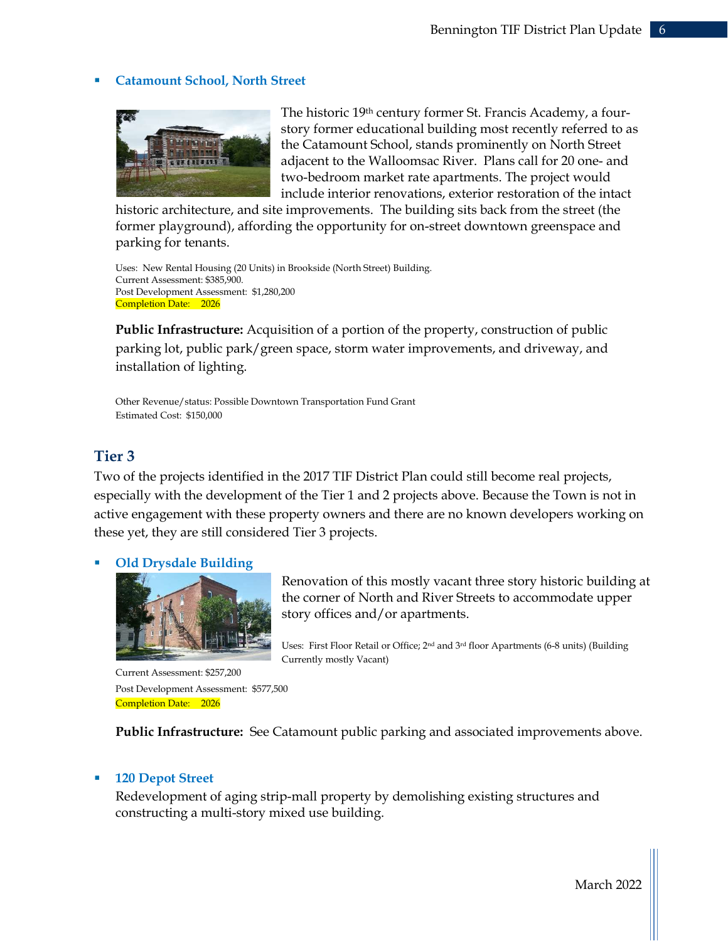#### Catamount School, North Street



The historic 19<sup>th</sup> century former St. Francis Academy, a fourstory former educational building most recently referred to as the Catamount School, stands prominently on North Street adjacent to the Walloomsac River. Plans call for 20 one- and two-bedroom market rate apartments. The project would include interior renovations, exterior restoration of the intact

historic architecture, and site improvements. The building sits back from the street (the former playground), affording the opportunity for on-street downtown greenspace and parking for tenants.

Uses: New Rental Housing (20 Units) in Brookside (North Street) Building. Current Assessment: \$385,900. Post Development Assessment: \$1,280,200 Completion Date: 2026

Public Infrastructure: Acquisition of a portion of the property, construction of public parking lot, public park/green space, storm water improvements, and driveway, and installation of lighting.

Other Revenue/status: Possible Downtown Transportation Fund Grant Estimated Cost: \$150,000

#### Tier 3

Two of the projects identified in the 2017 TIF District Plan could still become real projects, especially with the development of the Tier 1 and 2 projects above. Because the Town is not in active engagement with these property owners and there are no known developers working on these yet, they are still considered Tier 3 projects.

#### Old Drysdale Building



Renovation of this mostly vacant three story historic building at the corner of North and River Streets to accommodate upper story offices and/or apartments.

Uses: First Floor Retail or Office; 2nd and 3rd floor Apartments (6-8 units) (Building Currently mostly Vacant)

 Current Assessment: \$257,200 Post Development Assessment: \$577,500 Completion Date: 2026

Public Infrastructure: See Catamount public parking and associated improvements above.

#### 120 Depot Street

Redevelopment of aging strip-mall property by demolishing existing structures and constructing a multi-story mixed use building.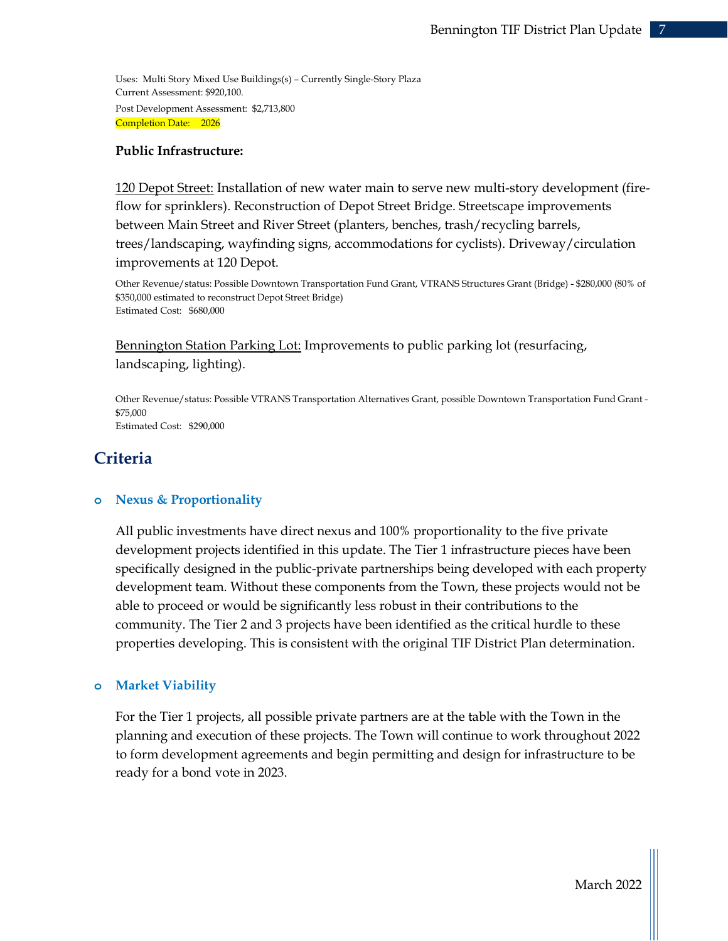Uses: Multi Story Mixed Use Buildings(s) – Currently Single-Story Plaza Current Assessment: \$920,100. Post Development Assessment: \$2,713,800 Completion Date: 2026

#### Public Infrastructure:

120 Depot Street: Installation of new water main to serve new multi-story development (fireflow for sprinklers). Reconstruction of Depot Street Bridge. Streetscape improvements between Main Street and River Street (planters, benches, trash/recycling barrels, trees/landscaping, wayfinding signs, accommodations for cyclists). Driveway/circulation improvements at 120 Depot.

Other Revenue/status: Possible Downtown Transportation Fund Grant, VTRANS Structures Grant (Bridge) - \$280,000 (80% of \$350,000 estimated to reconstruct Depot Street Bridge) Estimated Cost: \$680,000

Bennington Station Parking Lot: Improvements to public parking lot (resurfacing, landscaping, lighting).

Other Revenue/status: Possible VTRANS Transportation Alternatives Grant, possible Downtown Transportation Fund Grant - \$75,000 Estimated Cost: \$290,000

# **Criteria**

#### o Nexus & Proportionality

All public investments have direct nexus and 100% proportionality to the five private development projects identified in this update. The Tier 1 infrastructure pieces have been specifically designed in the public-private partnerships being developed with each property development team. Without these components from the Town, these projects would not be able to proceed or would be significantly less robust in their contributions to the community. The Tier 2 and 3 projects have been identified as the critical hurdle to these properties developing. This is consistent with the original TIF District Plan determination.

#### o Market Viability

For the Tier 1 projects, all possible private partners are at the table with the Town in the planning and execution of these projects. The Town will continue to work throughout 2022 to form development agreements and begin permitting and design for infrastructure to be ready for a bond vote in 2023.